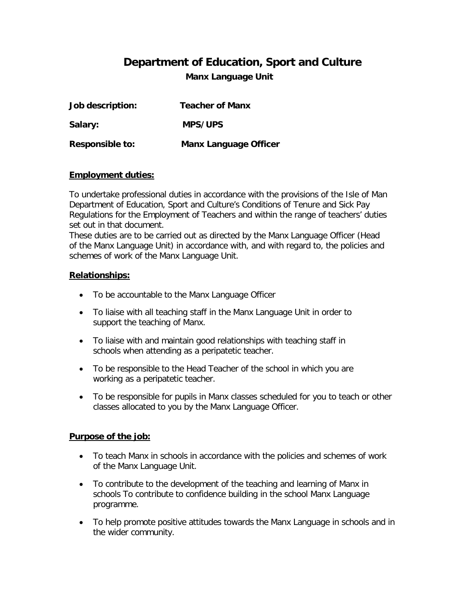# **Department of Education, Sport and Culture**

**Manx Language Unit**

| Job description: | <b>Teacher of Manx</b>       |
|------------------|------------------------------|
| Salary:          | <b>MPS/UPS</b>               |
| Responsible to:  | <b>Manx Language Officer</b> |

### **Employment duties:**

To undertake professional duties in accordance with the provisions of the Isle of Man Department of Education, Sport and Culture's Conditions of Tenure and Sick Pay Regulations for the Employment of Teachers and within the range of teachers' duties set out in that document.

These duties are to be carried out as directed by the Manx Language Officer (Head of the Manx Language Unit) in accordance with, and with regard to, the policies and schemes of work of the Manx Language Unit.

### **Relationships:**

- To be accountable to the Manx Language Officer
- To liaise with all teaching staff in the Manx Language Unit in order to support the teaching of Manx.
- To liaise with and maintain good relationships with teaching staff in schools when attending as a peripatetic teacher.
- To be responsible to the Head Teacher of the school in which you are working as a peripatetic teacher.
- To be responsible for pupils in Manx classes scheduled for you to teach or other classes allocated to you by the Manx Language Officer.

## **Purpose of the job:**

- To teach Manx in schools in accordance with the policies and schemes of work of the Manx Language Unit.
- To contribute to the development of the teaching and learning of Manx in schools To contribute to confidence building in the school Manx Language programme.
- To help promote positive attitudes towards the Manx Language in schools and in the wider community.